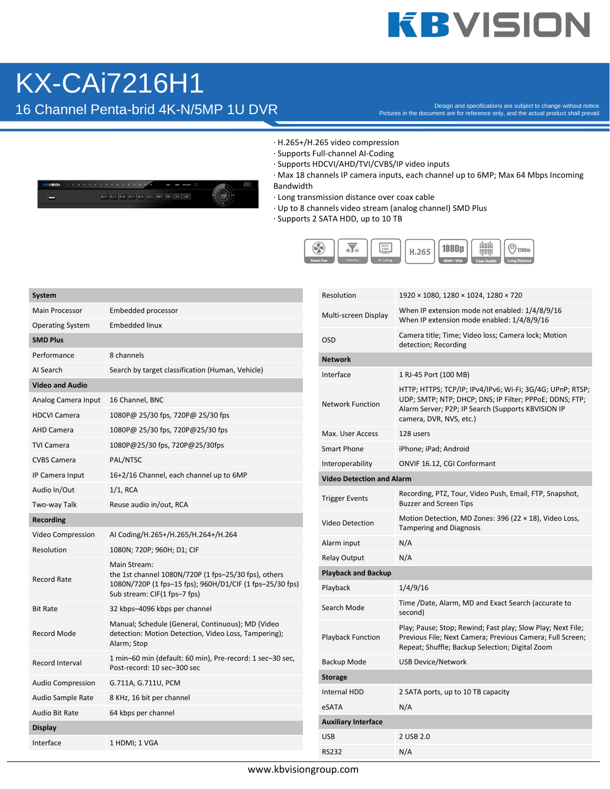## **KBVISION**

### KX-CAi7216H1

16 Channel Penta-brid 4K-N/5MP 1U DVR

H/D H/S P/R H/F H/F 1/S SIFT RC FK CSC

 $\frac{1}{2}$ 

Pictures in the document are for reference only, and the actual product shall prevail.



- · Supports Full-channel AI-Coding
- · Supports HDCVI/AHD/TVI/CVBS/IP video inputs

· Max 18 channels IP camera inputs, each channel up to 6MP; Max 64 Mbps Incoming Bandwidth

- · Long transmission distance over coax cable
- · Up to 8 channels video stream (analog channel) SMD Plus
- · Supports 2 SATA HDD, up to 10 TB



| System                   |                                                                                                                                                                  |  |  |  |  |
|--------------------------|------------------------------------------------------------------------------------------------------------------------------------------------------------------|--|--|--|--|
| <b>Main Processor</b>    | Embedded processor                                                                                                                                               |  |  |  |  |
| <b>Operating System</b>  | <b>Embedded linux</b>                                                                                                                                            |  |  |  |  |
| <b>SMD Plus</b>          |                                                                                                                                                                  |  |  |  |  |
| Performance              | 8 channels                                                                                                                                                       |  |  |  |  |
| Al Search                | Search by target classification (Human, Vehicle)                                                                                                                 |  |  |  |  |
| <b>Video and Audio</b>   |                                                                                                                                                                  |  |  |  |  |
| Analog Camera Input      | 16 Channel, BNC                                                                                                                                                  |  |  |  |  |
| <b>HDCVI Camera</b>      | 1080P@ 25/30 fps, 720P@ 25/30 fps                                                                                                                                |  |  |  |  |
| <b>AHD Camera</b>        | 1080P@ 25/30 fps, 720P@25/30 fps                                                                                                                                 |  |  |  |  |
| <b>TVI Camera</b>        | 1080P@25/30 fps, 720P@25/30fps                                                                                                                                   |  |  |  |  |
| <b>CVBS Camera</b>       | PAL/NTSC                                                                                                                                                         |  |  |  |  |
| IP Camera Input          | 16+2/16 Channel, each channel up to 6MP                                                                                                                          |  |  |  |  |
| Audio In/Out             | $1/1.$ RCA                                                                                                                                                       |  |  |  |  |
| Two-way Talk             | Reuse audio in/out, RCA                                                                                                                                          |  |  |  |  |
| <b>Recording</b>         |                                                                                                                                                                  |  |  |  |  |
| Video Compression        | AI Coding/H.265+/H.265/H.264+/H.264                                                                                                                              |  |  |  |  |
| Resolution               | 1080N; 720P; 960H; D1; CIF                                                                                                                                       |  |  |  |  |
| <b>Record Rate</b>       | Main Stream:<br>the 1st channel 1080N/720P (1 fps-25/30 fps), others<br>1080N/720P (1 fps-15 fps); 960H/D1/CIF (1 fps-25/30 fps)<br>Sub stream: CIF(1 fps-7 fps) |  |  |  |  |
| <b>Bit Rate</b>          | 32 kbps-4096 kbps per channel                                                                                                                                    |  |  |  |  |
| Record Mode              | Manual; Schedule (General, Continuous); MD (Video<br>detection: Motion Detection, Video Loss, Tampering);<br>Alarm; Stop                                         |  |  |  |  |
| <b>Record Interval</b>   | 1 min-60 min (default: 60 min), Pre-record: 1 sec-30 sec,<br>Post-record: 10 sec-300 sec                                                                         |  |  |  |  |
| <b>Audio Compression</b> | G.711A, G.711U, PCM                                                                                                                                              |  |  |  |  |
| Audio Sample Rate        | 8 KHz, 16 bit per channel                                                                                                                                        |  |  |  |  |
| Audio Bit Rate           | 64 kbps per channel                                                                                                                                              |  |  |  |  |
| <b>Display</b>           |                                                                                                                                                                  |  |  |  |  |
| Interface                | 1 HDMI; 1 VGA                                                                                                                                                    |  |  |  |  |

| Resolution                       | 1920 × 1080, 1280 × 1024, 1280 × 720                                                                                                                                                                  |  |  |  |  |
|----------------------------------|-------------------------------------------------------------------------------------------------------------------------------------------------------------------------------------------------------|--|--|--|--|
| Multi-screen Display             | When IP extension mode not enabled: 1/4/8/9/16<br>When IP extension mode enabled: 1/4/8/9/16                                                                                                          |  |  |  |  |
| OSD                              | Camera title; Time; Video loss; Camera lock; Motion<br>detection; Recording                                                                                                                           |  |  |  |  |
| <b>Network</b>                   |                                                                                                                                                                                                       |  |  |  |  |
| Interface                        | 1 RJ-45 Port (100 MB)                                                                                                                                                                                 |  |  |  |  |
| <b>Network Function</b>          | HTTP; HTTPS; TCP/IP; IPv4/IPv6; Wi-Fi; 3G/4G; UPnP; RTSP;<br>UDP; SMTP; NTP; DHCP; DNS; IP Filter; PPPoE; DDNS; FTP;<br>Alarm Server; P2P; IP Search (Supports KBVISION IP<br>camera, DVR, NVS, etc.) |  |  |  |  |
| Max. User Access                 | 128 users                                                                                                                                                                                             |  |  |  |  |
| <b>Smart Phone</b>               | iPhone; iPad; Android                                                                                                                                                                                 |  |  |  |  |
| Interoperability                 | <b>ONVIF 16.12, CGI Conformant</b>                                                                                                                                                                    |  |  |  |  |
| <b>Video Detection and Alarm</b> |                                                                                                                                                                                                       |  |  |  |  |
| <b>Trigger Events</b>            | Recording, PTZ, Tour, Video Push, Email, FTP, Snapshot,<br><b>Buzzer and Screen Tips</b>                                                                                                              |  |  |  |  |
| <b>Video Detection</b>           | Motion Detection, MD Zones: 396 (22 $\times$ 18), Video Loss,<br><b>Tampering and Diagnosis</b>                                                                                                       |  |  |  |  |
| Alarm input                      | N/A                                                                                                                                                                                                   |  |  |  |  |
| <b>Relay Output</b>              | N/A                                                                                                                                                                                                   |  |  |  |  |
| <b>Playback and Backup</b>       |                                                                                                                                                                                                       |  |  |  |  |
| Playback                         | 1/4/9/16                                                                                                                                                                                              |  |  |  |  |
| Search Mode                      | Time /Date, Alarm, MD and Exact Search (accurate to<br>second)                                                                                                                                        |  |  |  |  |
| <b>Playback Function</b>         | Play; Pause; Stop; Rewind; Fast play; Slow Play; Next File;<br>Previous File; Next Camera; Previous Camera; Full Screen;<br>Repeat; Shuffle; Backup Selection; Digital Zoom                           |  |  |  |  |
| Backup Mode                      | USB Device/Network                                                                                                                                                                                    |  |  |  |  |
| <b>Storage</b>                   |                                                                                                                                                                                                       |  |  |  |  |
| <b>Internal HDD</b>              | 2 SATA ports, up to 10 TB capacity                                                                                                                                                                    |  |  |  |  |
| eSATA                            | N/A                                                                                                                                                                                                   |  |  |  |  |
| <b>Auxiliary Interface</b>       |                                                                                                                                                                                                       |  |  |  |  |
| USB                              | 2 USB 2.0                                                                                                                                                                                             |  |  |  |  |
| <b>RS232</b>                     | N/A                                                                                                                                                                                                   |  |  |  |  |